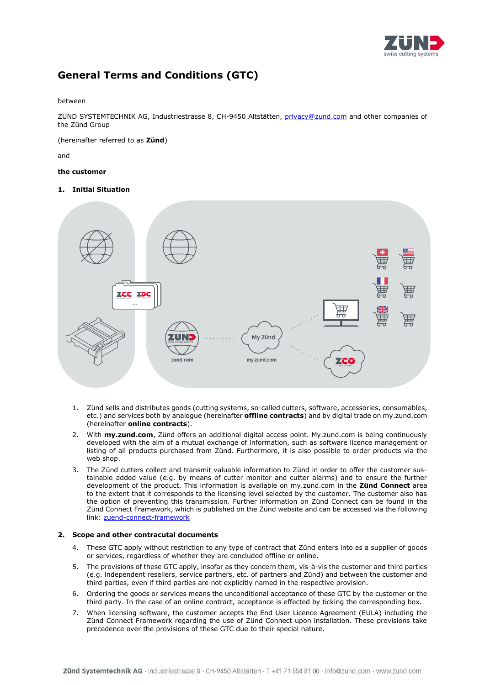

# **General Terms and Conditions (GTC)**

#### between

ZÜND SYSTEMTECHNIK AG, Industriestrasse 8, CH-9450 Altstätten, [privacy@zund.com](mailto:privacy@zund.com) and other companies of the Zünd Group

(hereinafter referred to as **Zünd**)

and

## **the customer**

## **1. Initial Situation**



- 1. Zünd sells and distributes goods (cutting systems, so-called cutters, software, accessories, consumables, etc.) and services both by analogue (hereinafter **offline contracts**) and by digital trade on my.zund.com (hereinafter **online contracts**).
- 2. With **my.zund.com**, Zünd offers an additional digital access point. My.zund.com is being continuously developed with the aim of a mutual exchange of information, such as software licence management or listing of all products purchased from Zünd. Furthermore, it is also possible to order products via the web shop.
- 3. The Zünd cutters collect and transmit valuable information to Zünd in order to offer the customer sustainable added value (e.g. by means of cutter monitor and cutter alarms) and to ensure the further development of the product. This information is available on my.zund.com in the **Zünd Connect** area to the extent that it corresponds to the licensing level selected by the customer. The customer also has the option of preventing this transmission. Further information on Zünd Connect can be found in the Zünd Connect Framework, which is published on the Zünd website and can be accessed via the following link: [zuend-connect-framework](https://www.zund.com/en/zuend-connect-framework)

## **2. Scope and other contracutal documents**

- 4. These GTC apply without restriction to any type of contract that Zünd enters into as a supplier of goods or services, regardless of whether they are concluded offline or online.
- 5. The provisions of these GTC apply, insofar as they concern them, vis-à-vis the customer and third parties (e.g. independent resellers, service partners, etc. of partners and Zünd) and between the customer and third parties, even if third parties are not explicitly named in the respective provision.
- 6. Ordering the goods or services means the unconditional acceptance of these GTC by the customer or the third party. In the case of an online contract, acceptance is effected by ticking the corresponding box.
- 7. When licensing software, the customer accepts the End User Licence Agreement (EULA) including the Zünd Connect Framework regarding the use of Zünd Connect upon installation. These provisions take precedence over the provisions of these GTC due to their special nature.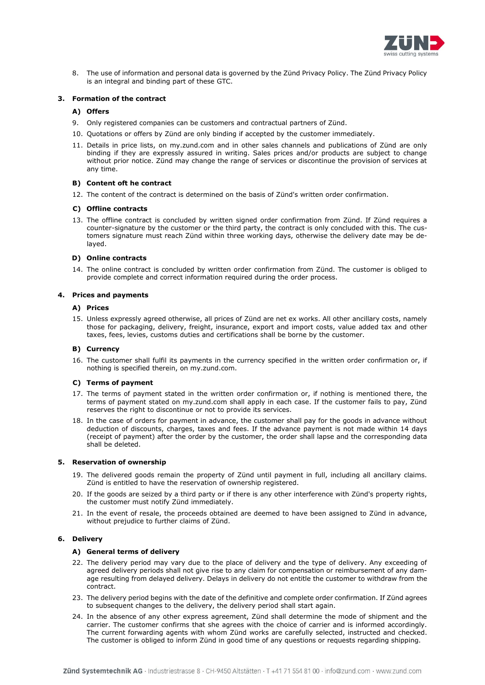

8. The use of information and personal data is governed by the Zünd Privacy Policy. The Zünd Privacy Policy is an integral and binding part of these GTC.

# **3. Formation of the contract**

# **A) Offers**

- 9. Only registered companies can be customers and contractual partners of Zünd.
- 10. Quotations or offers by Zünd are only binding if accepted by the customer immediately.
- 11. Details in price lists, on my.zund.com and in other sales channels and publications of Zünd are only binding if they are expressly assured in writing. Sales prices and/or products are subject to change without prior notice. Zünd may change the range of services or discontinue the provision of services at any time.

## **B) Content oft he contract**

12. The content of the contract is determined on the basis of Zünd's written order confirmation.

#### **C) Offline contracts**

13. The offline contract is concluded by written signed order confirmation from Zünd. If Zünd requires a counter-signature by the customer or the third party, the contract is only concluded with this. The customers signature must reach Zünd within three working days, otherwise the delivery date may be delayed.

#### **D) Online contracts**

14. The online contract is concluded by written order confirmation from Zünd. The customer is obliged to provide complete and correct information required during the order process.

## **4. Prices and payments**

## **A) Prices**

15. Unless expressly agreed otherwise, all prices of Zünd are net ex works. All other ancillary costs, namely those for packaging, delivery, freight, insurance, export and import costs, value added tax and other taxes, fees, levies, customs duties and certifications shall be borne by the customer.

#### **B) Currency**

16. The customer shall fulfil its payments in the currency specified in the written order confirmation or, if nothing is specified therein, on my.zund.com.

## **C) Terms of payment**

- 17. The terms of payment stated in the written order confirmation or, if nothing is mentioned there, the terms of payment stated on my.zund.com shall apply in each case. If the customer fails to pay, Zünd reserves the right to discontinue or not to provide its services.
- 18. In the case of orders for payment in advance, the customer shall pay for the goods in advance without deduction of discounts, charges, taxes and fees. If the advance payment is not made within 14 days (receipt of payment) after the order by the customer, the order shall lapse and the corresponding data shall be deleted.

#### **5. Reservation of ownership**

- 19. The delivered goods remain the property of Zünd until payment in full, including all ancillary claims. Zünd is entitled to have the reservation of ownership registered.
- 20. If the goods are seized by a third party or if there is any other interference with Zünd's property rights, the customer must notify Zünd immediately.
- 21. In the event of resale, the proceeds obtained are deemed to have been assigned to Zünd in advance, without prejudice to further claims of Zünd.

#### **6. Delivery**

#### **A) General terms of delivery**

- 22. The delivery period may vary due to the place of delivery and the type of delivery. Any exceeding of agreed delivery periods shall not give rise to any claim for compensation or reimbursement of any damage resulting from delayed delivery. Delays in delivery do not entitle the customer to withdraw from the contract.
- 23. The delivery period begins with the date of the definitive and complete order confirmation. If Zünd agrees to subsequent changes to the delivery, the delivery period shall start again.
- 24. In the absence of any other express agreement, Zünd shall determine the mode of shipment and the carrier. The customer confirms that she agrees with the choice of carrier and is informed accordingly. The current forwarding agents with whom Zünd works are carefully selected, instructed and checked. The customer is obliged to inform Zünd in good time of any questions or requests regarding shipping.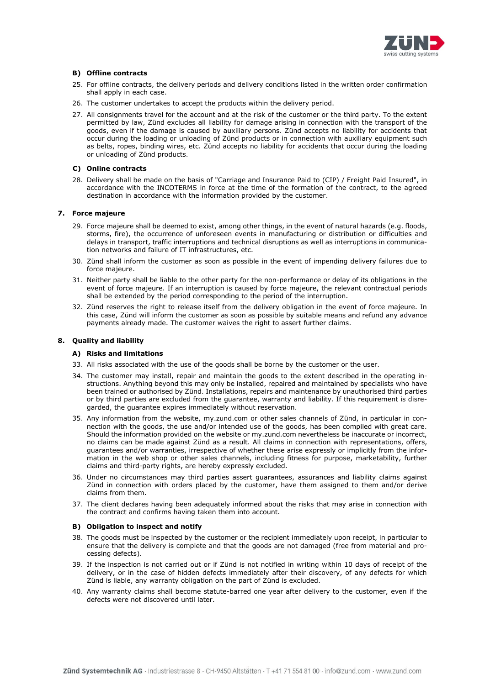

## **B) Offline contracts**

- 25. For offline contracts, the delivery periods and delivery conditions listed in the written order confirmation shall apply in each case.
- 26. The customer undertakes to accept the products within the delivery period.
- 27. All consignments travel for the account and at the risk of the customer or the third party. To the extent permitted by law, Zünd excludes all liability for damage arising in connection with the transport of the goods, even if the damage is caused by auxiliary persons. Zünd accepts no liability for accidents that occur during the loading or unloading of Zünd products or in connection with auxiliary equipment such as belts, ropes, binding wires, etc. Zünd accepts no liability for accidents that occur during the loading or unloading of Zünd products.

## **C) Online contracts**

28. Delivery shall be made on the basis of "Carriage and Insurance Paid to (CIP) / Freight Paid Insured", in accordance with the INCOTERMS in force at the time of the formation of the contract, to the agreed destination in accordance with the information provided by the customer.

## **7. Force majeure**

- 29. Force majeure shall be deemed to exist, among other things, in the event of natural hazards (e.g. floods, storms, fire), the occurrence of unforeseen events in manufacturing or distribution or difficulties and delays in transport, traffic interruptions and technical disruptions as well as interruptions in communication networks and failure of IT infrastructures, etc.
- 30. Zünd shall inform the customer as soon as possible in the event of impending delivery failures due to force majeure.
- 31. Neither party shall be liable to the other party for the non-performance or delay of its obligations in the event of force majeure. If an interruption is caused by force majeure, the relevant contractual periods shall be extended by the period corresponding to the period of the interruption.
- 32. Zünd reserves the right to release itself from the delivery obligation in the event of force majeure. In this case, Zünd will inform the customer as soon as possible by suitable means and refund any advance payments already made. The customer waives the right to assert further claims.

## **8. Quality and liability**

## **A) Risks and limitations**

- 33. All risks associated with the use of the goods shall be borne by the customer or the user.
- 34. The customer may install, repair and maintain the goods to the extent described in the operating instructions. Anything beyond this may only be installed, repaired and maintained by specialists who have been trained or authorised by Zünd. Installations, repairs and maintenance by unauthorised third parties or by third parties are excluded from the guarantee, warranty and liability. If this requirement is disregarded, the guarantee expires immediately without reservation.
- 35. Any information from the website, my.zund.com or other sales channels of Zünd, in particular in connection with the goods, the use and/or intended use of the goods, has been compiled with great care. Should the information provided on the website or my.zund.com nevertheless be inaccurate or incorrect, no claims can be made against Zünd as a result. All claims in connection with representations, offers, guarantees and/or warranties, irrespective of whether these arise expressly or implicitly from the information in the web shop or other sales channels, including fitness for purpose, marketability, further claims and third-party rights, are hereby expressly excluded.
- 36. Under no circumstances may third parties assert guarantees, assurances and liability claims against Zünd in connection with orders placed by the customer, have them assigned to them and/or derive claims from them.
- 37. The client declares having been adequately informed about the risks that may arise in connection with the contract and confirms having taken them into account.

#### **B) Obligation to inspect and notify**

- 38. The goods must be inspected by the customer or the recipient immediately upon receipt, in particular to ensure that the delivery is complete and that the goods are not damaged (free from material and processing defects).
- 39. If the inspection is not carried out or if Zünd is not notified in writing within 10 days of receipt of the delivery, or in the case of hidden defects immediately after their discovery, of any defects for which Zünd is liable, any warranty obligation on the part of Zünd is excluded.
- 40. Any warranty claims shall become statute-barred one year after delivery to the customer, even if the defects were not discovered until later.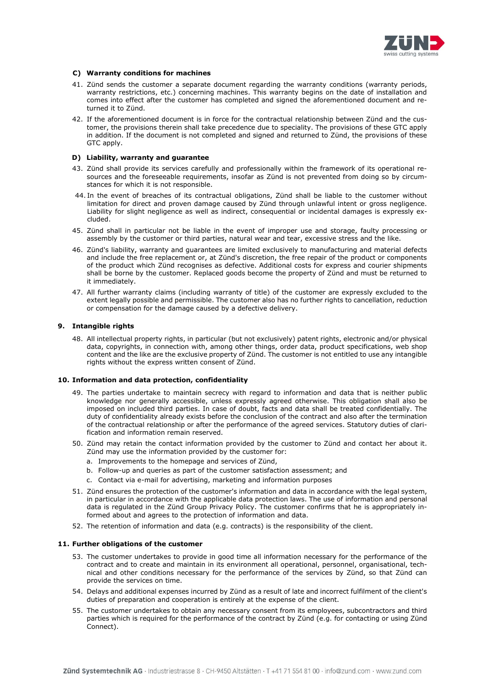

## **C) Warranty conditions for machines**

- 41. Zünd sends the customer a separate document regarding the warranty conditions (warranty periods, warranty restrictions, etc.) concerning machines. This warranty begins on the date of installation and comes into effect after the customer has completed and signed the aforementioned document and returned it to Zünd.
- 42. If the aforementioned document is in force for the contractual relationship between Zünd and the customer, the provisions therein shall take precedence due to speciality. The provisions of these GTC apply in addition. If the document is not completed and signed and returned to Zünd, the provisions of these GTC apply.

## **D) Liability, warranty and guarantee**

- 43. Zünd shall provide its services carefully and professionally within the framework of its operational resources and the foreseeable requirements, insofar as Zünd is not prevented from doing so by circumstances for which it is not responsible.
- 44. In the event of breaches of its contractual obligations, Zünd shall be liable to the customer without limitation for direct and proven damage caused by Zünd through unlawful intent or gross negligence. Liability for slight negligence as well as indirect, consequential or incidental damages is expressly excluded.
- 45. Zünd shall in particular not be liable in the event of improper use and storage, faulty processing or assembly by the customer or third parties, natural wear and tear, excessive stress and the like.
- 46. Zünd's liability, warranty and guarantees are limited exclusively to manufacturing and material defects and include the free replacement or, at Zünd's discretion, the free repair of the product or components of the product which Zünd recognises as defective. Additional costs for express and courier shipments shall be borne by the customer. Replaced goods become the property of Zünd and must be returned to it immediately.
- 47. All further warranty claims (including warranty of title) of the customer are expressly excluded to the extent legally possible and permissible. The customer also has no further rights to cancellation, reduction or compensation for the damage caused by a defective delivery.

## **9. Intangible rights**

48. All intellectual property rights, in particular (but not exclusively) patent rights, electronic and/or physical data, copyrights, in connection with, among other things, order data, product specifications, web shop content and the like are the exclusive property of Zünd. The customer is not entitled to use any intangible rights without the express written consent of Zünd.

## **10. Information and data protection, confidentiality**

- 49. The parties undertake to maintain secrecy with regard to information and data that is neither public knowledge nor generally accessible, unless expressly agreed otherwise. This obligation shall also be imposed on included third parties. In case of doubt, facts and data shall be treated confidentially. The duty of confidentiality already exists before the conclusion of the contract and also after the termination of the contractual relationship or after the performance of the agreed services. Statutory duties of clarification and information remain reserved.
- 50. Zünd may retain the contact information provided by the customer to Zünd and contact her about it. Zünd may use the information provided by the customer for:
	- a. Improvements to the homepage and services of Zünd,
	- b. Follow-up and queries as part of the customer satisfaction assessment; and
	- c. Contact via e-mail for advertising, marketing and information purposes
- 51. Zünd ensures the protection of the customer's information and data in accordance with the legal system, in particular in accordance with the applicable data protection laws. The use of information and personal data is regulated in the Zünd Group Privacy Policy. The customer confirms that he is appropriately informed about and agrees to the protection of information and data.
- 52. The retention of information and data (e.g. contracts) is the responsibility of the client.

#### **11. Further obligations of the customer**

- 53. The customer undertakes to provide in good time all information necessary for the performance of the contract and to create and maintain in its environment all operational, personnel, organisational, technical and other conditions necessary for the performance of the services by Zünd, so that Zünd can provide the services on time.
- 54. Delays and additional expenses incurred by Zünd as a result of late and incorrect fulfilment of the client's duties of preparation and cooperation is entirely at the expense of the client.
- 55. The customer undertakes to obtain any necessary consent from its employees, subcontractors and third parties which is required for the performance of the contract by Zünd (e.g. for contacting or using Zünd Connect).